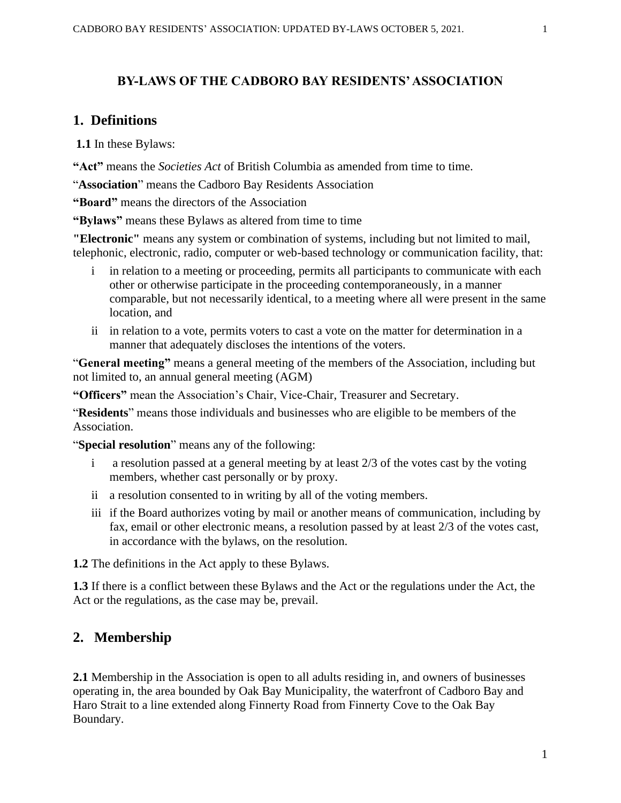### **BY-LAWS OF THE CADBORO BAY RESIDENTS' ASSOCIATION**

### **1. Definitions**

**1.1** In these Bylaws:

**"Act"** means the *Societies Act* of British Columbia as amended from time to time.

"**Association**" means the Cadboro Bay Residents Association

**"Board"** means the directors of the Association

**"Bylaws"** means these Bylaws as altered from time to time

**"Electronic"** means any system or combination of systems, including but not limited to mail, telephonic, electronic, radio, computer or web-based technology or communication facility, that:

- in relation to a meeting or proceeding, permits all participants to communicate with each other or otherwise participate in the proceeding contemporaneously, in a manner comparable, but not necessarily identical, to a meeting where all were present in the same location, and
- ii in relation to a vote, permits voters to cast a vote on the matter for determination in a manner that adequately discloses the intentions of the voters.

"**General meeting"** means a general meeting of the members of the Association, including but not limited to, an annual general meeting (AGM)

**"Officers"** mean the Association's Chair, Vice-Chair, Treasurer and Secretary.

"**Residents**" means those individuals and businesses who are eligible to be members of the Association.

"**Special resolution**" means any of the following:

- a resolution passed at a general meeting by at least 2/3 of the votes cast by the voting members, whether cast personally or by proxy.
- ii a resolution consented to in writing by all of the voting members.
- iii if the Board authorizes voting by mail or another means of communication, including by fax, email or other electronic means, a resolution passed by at least 2/3 of the votes cast, in accordance with the bylaws, on the resolution.

**1.2** The definitions in the Act apply to these Bylaws.

**1.3** If there is a conflict between these Bylaws and the Act or the regulations under the Act, the Act or the regulations, as the case may be, prevail.

### **2. Membership**

**2.1** Membership in the Association is open to all adults residing in, and owners of businesses operating in, the area bounded by Oak Bay Municipality, the waterfront of Cadboro Bay and Haro Strait to a line extended along Finnerty Road from Finnerty Cove to the Oak Bay Boundary.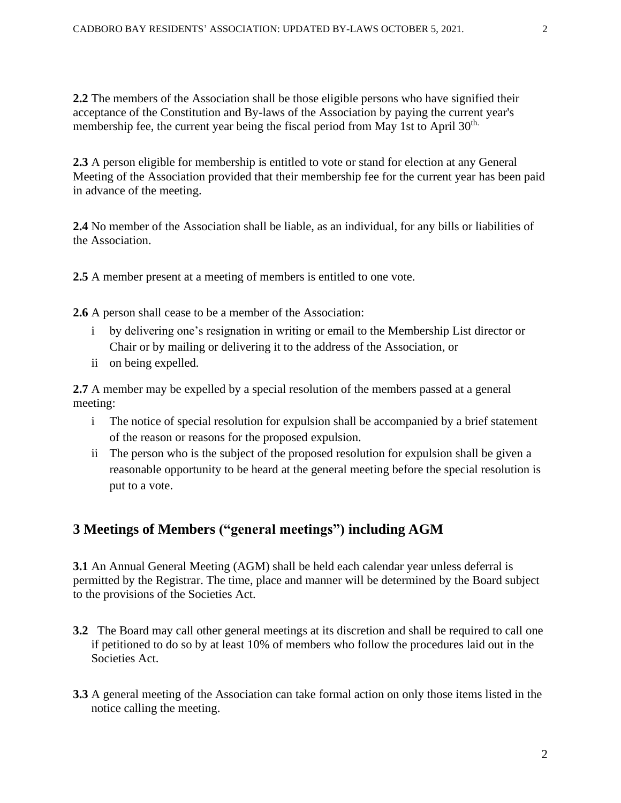**2.2** The members of the Association shall be those eligible persons who have signified their acceptance of the Constitution and By-laws of the Association by paying the current year's membership fee, the current year being the fiscal period from May 1st to April 30<sup>th.</sup>

**2.3** A person eligible for membership is entitled to vote or stand for election at any General Meeting of the Association provided that their membership fee for the current year has been paid in advance of the meeting.

**2.4** No member of the Association shall be liable, as an individual, for any bills or liabilities of the Association.

**2.5** A member present at a meeting of members is entitled to one vote.

**2.6** A person shall cease to be a member of the Association:

- i by delivering one's resignation in writing or email to the Membership List director or Chair or by mailing or delivering it to the address of the Association, or
- ii on being expelled.

**2.7** A member may be expelled by a special resolution of the members passed at a general meeting:

- i The notice of special resolution for expulsion shall be accompanied by a brief statement of the reason or reasons for the proposed expulsion.
- ii The person who is the subject of the proposed resolution for expulsion shall be given a reasonable opportunity to be heard at the general meeting before the special resolution is put to a vote.

# **3 Meetings of Members ("general meetings") including AGM**

**3.1** An Annual General Meeting (AGM) shall be held each calendar year unless deferral is permitted by the Registrar. The time, place and manner will be determined by the Board subject to the provisions of the Societies Act.

- **3.2** The Board may call other general meetings at its discretion and shall be required to call one if petitioned to do so by at least 10% of members who follow the procedures laid out in the Societies Act.
- **3.3** A general meeting of the Association can take formal action on only those items listed in the notice calling the meeting.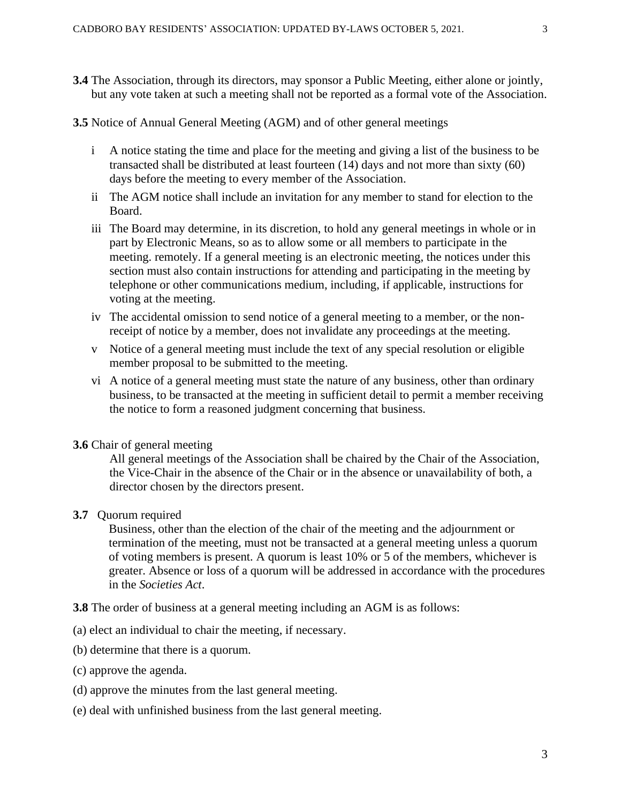- **3.4** The Association, through its directors, may sponsor a Public Meeting, either alone or jointly, but any vote taken at such a meeting shall not be reported as a formal vote of the Association.
- **3.5** Notice of Annual General Meeting (AGM) and of other general meetings
	- i A notice stating the time and place for the meeting and giving a list of the business to be transacted shall be distributed at least fourteen (14) days and not more than sixty (60) days before the meeting to every member of the Association.
	- ii The AGM notice shall include an invitation for any member to stand for election to the Board.
	- iii The Board may determine, in its discretion, to hold any general meetings in whole or in part by Electronic Means, so as to allow some or all members to participate in the meeting. remotely. If a general meeting is an electronic meeting, the notices under this section must also contain instructions for attending and participating in the meeting by telephone or other communications medium, including, if applicable, instructions for voting at the meeting.
	- iv The accidental omission to send notice of a general meeting to a member, or the nonreceipt of notice by a member, does not invalidate any proceedings at the meeting.
	- v Notice of a general meeting must include the text of any special resolution or eligible member proposal to be submitted to the meeting.
	- vi A notice of a general meeting must state the nature of any business, other than ordinary business, to be transacted at the meeting in sufficient detail to permit a member receiving the notice to form a reasoned judgment concerning that business.

#### **3.6** Chair of general meeting

All general meetings of the Association shall be chaired by the Chair of the Association, the Vice-Chair in the absence of the Chair or in the absence or unavailability of both, a director chosen by the directors present.

#### **3.7** Quorum required

Business, other than the election of the chair of the meeting and the adjournment or termination of the meeting, must not be transacted at a general meeting unless a quorum of voting members is present. A quorum is least 10% or 5 of the members, whichever is greater. Absence or loss of a quorum will be addressed in accordance with the procedures in the *Societies Act*.

**3.8** The order of business at a general meeting including an AGM is as follows:

- (a) elect an individual to chair the meeting, if necessary.
- (b) determine that there is a quorum.
- (c) approve the agenda.
- (d) approve the minutes from the last general meeting.
- (e) deal with unfinished business from the last general meeting.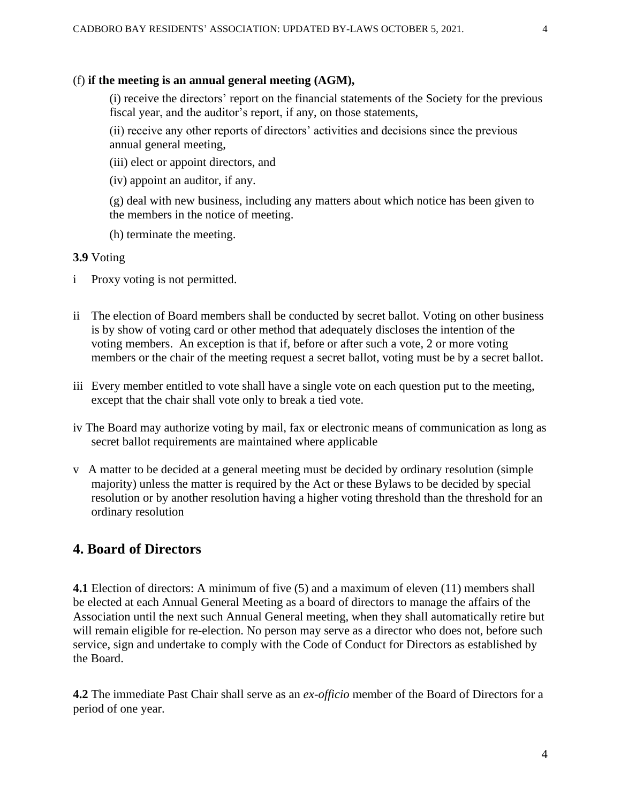### (f) **if the meeting is an annual general meeting (AGM),**

(i) receive the directors' report on the financial statements of the Society for the previous fiscal year, and the auditor's report, if any, on those statements,

(ii) receive any other reports of directors' activities and decisions since the previous annual general meeting,

(iii) elect or appoint directors, and

(iv) appoint an auditor, if any.

(g) deal with new business, including any matters about which notice has been given to the members in the notice of meeting.

(h) terminate the meeting.

#### **3.9** Voting

- i Proxy voting is not permitted.
- ii The election of Board members shall be conducted by secret ballot. Voting on other business is by show of voting card or other method that adequately discloses the intention of the voting members. An exception is that if, before or after such a vote, 2 or more voting members or the chair of the meeting request a secret ballot, voting must be by a secret ballot.
- iii Every member entitled to vote shall have a single vote on each question put to the meeting, except that the chair shall vote only to break a tied vote.
- iv The Board may authorize voting by mail, fax or electronic means of communication as long as secret ballot requirements are maintained where applicable
- v A matter to be decided at a general meeting must be decided by ordinary resolution (simple majority) unless the matter is required by the Act or these Bylaws to be decided by special resolution or by another resolution having a higher voting threshold than the threshold for an ordinary resolution

# **4. Board of Directors**

**4.1** Election of directors: A minimum of five (5) and a maximum of eleven (11) members shall be elected at each Annual General Meeting as a board of directors to manage the affairs of the Association until the next such Annual General meeting, when they shall automatically retire but will remain eligible for re-election. No person may serve as a director who does not, before such service, sign and undertake to comply with the Code of Conduct for Directors as established by the Board.

**4.2** The immediate Past Chair shall serve as an *ex-officio* member of the Board of Directors for a period of one year.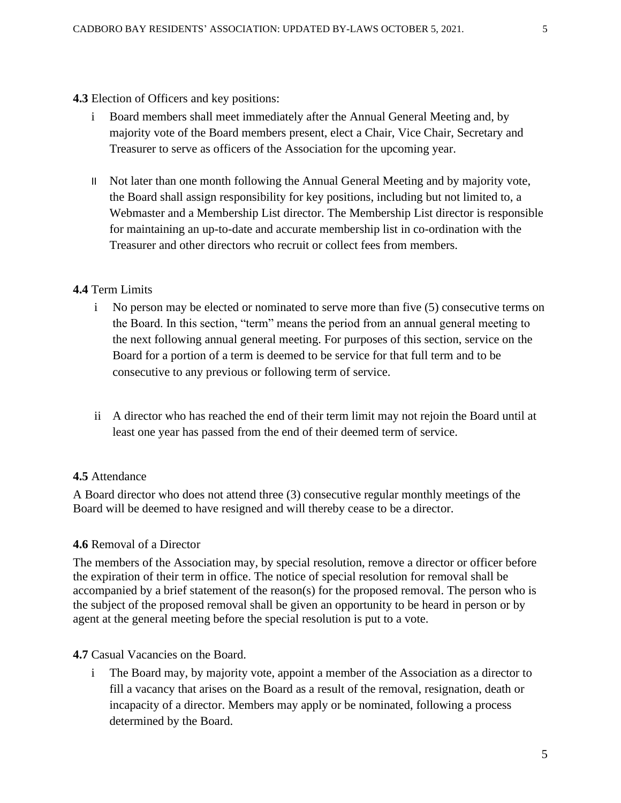#### **4.3** Election of Officers and key positions:

- i Board members shall meet immediately after the Annual General Meeting and, by majority vote of the Board members present, elect a Chair, Vice Chair, Secretary and Treasurer to serve as officers of the Association for the upcoming year.
- II Not later than one month following the Annual General Meeting and by majority vote, the Board shall assign responsibility for key positions, including but not limited to, a Webmaster and a Membership List director. The Membership List director is responsible for maintaining an up-to-date and accurate membership list in co-ordination with the Treasurer and other directors who recruit or collect fees from members.

#### **4.4** Term Limits

- i No person may be elected or nominated to serve more than five (5) consecutive terms on the Board. In this section, "term" means the period from an annual general meeting to the next following annual general meeting. For purposes of this section, service on the Board for a portion of a term is deemed to be service for that full term and to be consecutive to any previous or following term of service.
- ii A director who has reached the end of their term limit may not rejoin the Board until at least one year has passed from the end of their deemed term of service.

### **4.5** Attendance

A Board director who does not attend three (3) consecutive regular monthly meetings of the Board will be deemed to have resigned and will thereby cease to be a director.

#### **4.6** Removal of a Director

The members of the Association may, by special resolution, remove a director or officer before the expiration of their term in office. The notice of special resolution for removal shall be accompanied by a brief statement of the reason(s) for the proposed removal. The person who is the subject of the proposed removal shall be given an opportunity to be heard in person or by agent at the general meeting before the special resolution is put to a vote.

### **4.7** Casual Vacancies on the Board.

i The Board may, by majority vote, appoint a member of the Association as a director to fill a vacancy that arises on the Board as a result of the removal, resignation, death or incapacity of a director. Members may apply or be nominated, following a process determined by the Board.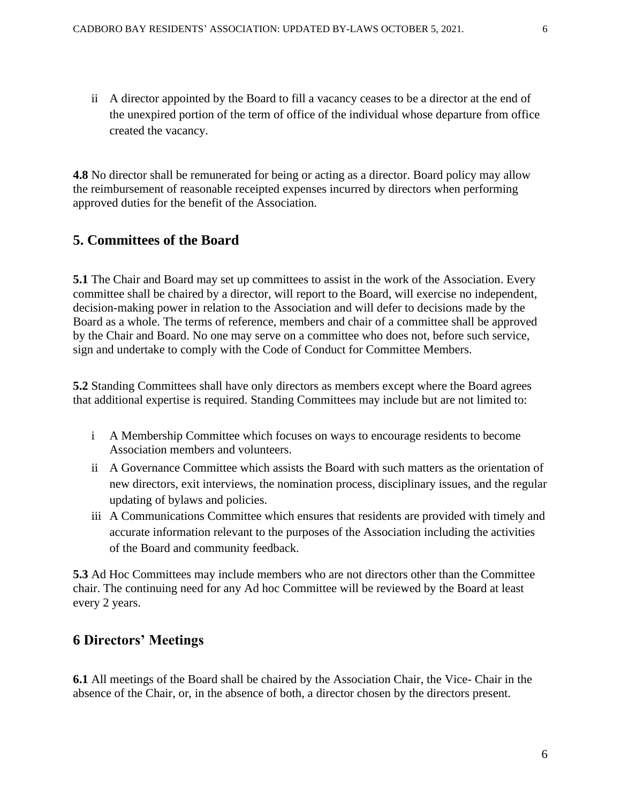ii A director appointed by the Board to fill a vacancy ceases to be a director at the end of the unexpired portion of the term of office of the individual whose departure from office created the vacancy.

**4.8** No director shall be remunerated for being or acting as a director. Board policy may allow the reimbursement of reasonable receipted expenses incurred by directors when performing approved duties for the benefit of the Association.

## **5. Committees of the Board**

**5.1** The Chair and Board may set up committees to assist in the work of the Association. Every committee shall be chaired by a director, will report to the Board, will exercise no independent, decision-making power in relation to the Association and will defer to decisions made by the Board as a whole. The terms of reference, members and chair of a committee shall be approved by the Chair and Board. No one may serve on a committee who does not, before such service, sign and undertake to comply with the Code of Conduct for Committee Members.

**5.2** Standing Committees shall have only directors as members except where the Board agrees that additional expertise is required. Standing Committees may include but are not limited to:

- i A Membership Committee which focuses on ways to encourage residents to become Association members and volunteers.
- ii A Governance Committee which assists the Board with such matters as the orientation of new directors, exit interviews, the nomination process, disciplinary issues, and the regular updating of bylaws and policies.
- iii A Communications Committee which ensures that residents are provided with timely and accurate information relevant to the purposes of the Association including the activities of the Board and community feedback.

**5.3** Ad Hoc Committees may include members who are not directors other than the Committee chair. The continuing need for any Ad hoc Committee will be reviewed by the Board at least every 2 years.

# **6 Directors' Meetings**

**6.1** All meetings of the Board shall be chaired by the Association Chair, the Vice- Chair in the absence of the Chair, or, in the absence of both, a director chosen by the directors present.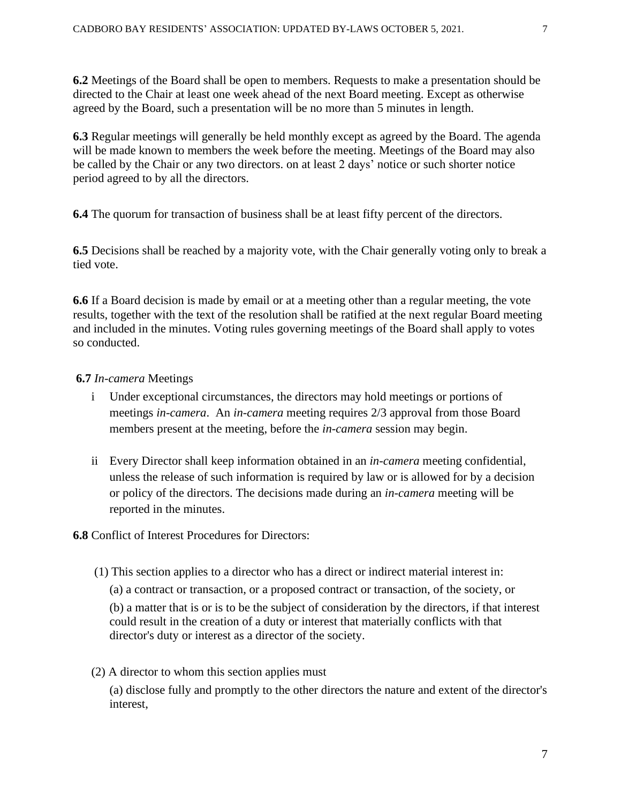**6.2** Meetings of the Board shall be open to members. Requests to make a presentation should be directed to the Chair at least one week ahead of the next Board meeting. Except as otherwise agreed by the Board, such a presentation will be no more than 5 minutes in length.

**6.3** Regular meetings will generally be held monthly except as agreed by the Board. The agenda will be made known to members the week before the meeting. Meetings of the Board may also be called by the Chair or any two directors. on at least 2 days' notice or such shorter notice period agreed to by all the directors.

**6.4** The quorum for transaction of business shall be at least fifty percent of the directors.

**6.5** Decisions shall be reached by a majority vote, with the Chair generally voting only to break a tied vote.

**6.6** If a Board decision is made by email or at a meeting other than a regular meeting, the vote results, together with the text of the resolution shall be ratified at the next regular Board meeting and included in the minutes. Voting rules governing meetings of the Board shall apply to votes so conducted.

#### **6.7** *In-camera* Meetings

- i Under exceptional circumstances, the directors may hold meetings or portions of meetings *in-camera*. An *in-camera* meeting requires 2/3 approval from those Board members present at the meeting, before the *in-camera* session may begin.
- ii Every Director shall keep information obtained in an *in-camera* meeting confidential, unless the release of such information is required by law or is allowed for by a decision or policy of the directors. The decisions made during an *in-camera* meeting will be reported in the minutes.

#### **6.8** Conflict of Interest Procedures for Directors:

(1) This section applies to a director who has a direct or indirect material interest in:

(a) a contract or transaction, or a proposed contract or transaction, of the society, or

(b) a matter that is or is to be the subject of consideration by the directors, if that interest could result in the creation of a duty or interest that materially conflicts with that director's duty or interest as a director of the society.

(2) A director to whom this section applies must

(a) disclose fully and promptly to the other directors the nature and extent of the director's interest,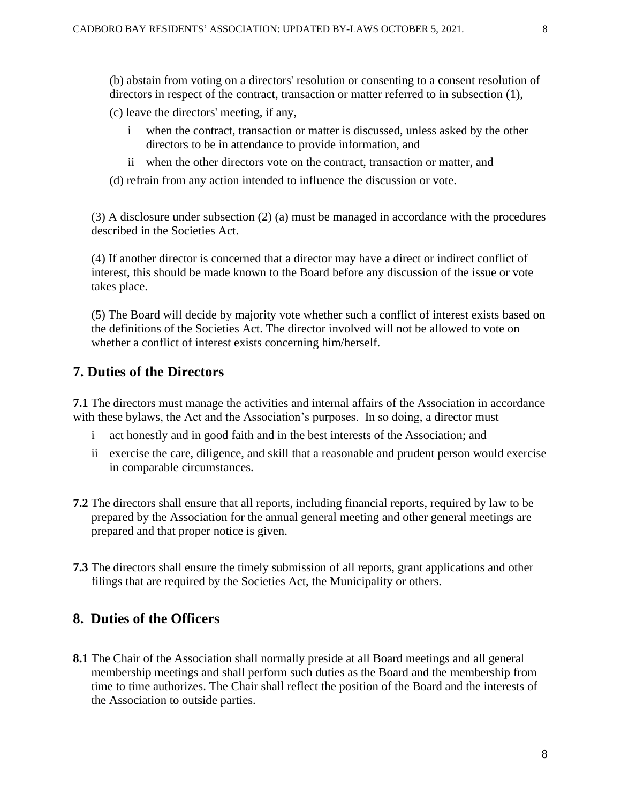(b) abstain from voting on a directors' resolution or consenting to a consent resolution of directors in respect of the contract, transaction or matter referred to in subsection (1),

(c) leave the directors' meeting, if any,

- i when the contract, transaction or matter is discussed, unless asked by the other directors to be in attendance to provide information, and
- ii when the other directors vote on the contract, transaction or matter, and
- (d) refrain from any action intended to influence the discussion or vote.

(3) A disclosure under subsection (2) (a) must be managed in accordance with the procedures described in the Societies Act.

(4) If another director is concerned that a director may have a direct or indirect conflict of interest, this should be made known to the Board before any discussion of the issue or vote takes place.

 (5) The Board will decide by majority vote whether such a conflict of interest exists based on the definitions of the Societies Act. The director involved will not be allowed to vote on whether a conflict of interest exists concerning him/herself.

# **7. Duties of the Directors**

**7.1** The directors must manage the activities and internal affairs of the Association in accordance with these bylaws, the Act and the Association's purposes. In so doing, a director must

- i act honestly and in good faith and in the best interests of the Association; and
- ii exercise the care, diligence, and skill that a reasonable and prudent person would exercise in comparable circumstances.
- **7.2** The directors shall ensure that all reports, including financial reports, required by law to be prepared by the Association for the annual general meeting and other general meetings are prepared and that proper notice is given.
- **7.3** The directors shall ensure the timely submission of all reports, grant applications and other filings that are required by the Societies Act, the Municipality or others.

### **8. Duties of the Officers**

**8.1** The Chair of the Association shall normally preside at all Board meetings and all general membership meetings and shall perform such duties as the Board and the membership from time to time authorizes. The Chair shall reflect the position of the Board and the interests of the Association to outside parties.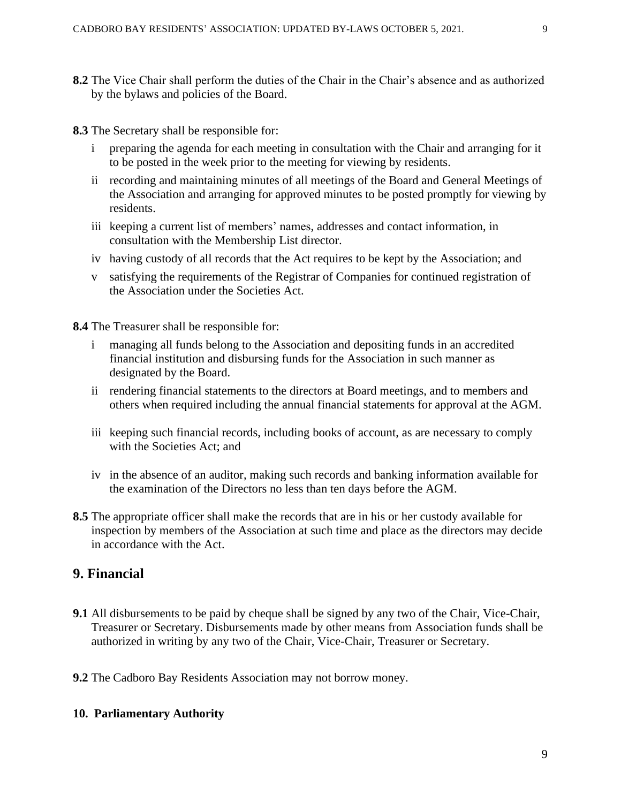- **8.2** The Vice Chair shall perform the duties of the Chair in the Chair's absence and as authorized by the bylaws and policies of the Board.
- **8.3** The Secretary shall be responsible for:
	- i preparing the agenda for each meeting in consultation with the Chair and arranging for it to be posted in the week prior to the meeting for viewing by residents.
	- ii recording and maintaining minutes of all meetings of the Board and General Meetings of the Association and arranging for approved minutes to be posted promptly for viewing by residents.
	- iii keeping a current list of members' names, addresses and contact information, in consultation with the Membership List director.
	- iv having custody of all records that the Act requires to be kept by the Association; and
	- v satisfying the requirements of the Registrar of Companies for continued registration of the Association under the Societies Act.

**8.4** The Treasurer shall be responsible for:

- i managing all funds belong to the Association and depositing funds in an accredited financial institution and disbursing funds for the Association in such manner as designated by the Board.
- ii rendering financial statements to the directors at Board meetings, and to members and others when required including the annual financial statements for approval at the AGM.
- iii keeping such financial records, including books of account, as are necessary to comply with the Societies Act; and
- iv in the absence of an auditor, making such records and banking information available for the examination of the Directors no less than ten days before the AGM.
- **8.5** The appropriate officer shall make the records that are in his or her custody available for inspection by members of the Association at such time and place as the directors may decide in accordance with the Act.

### **9. Financial**

- **9.1** All disbursements to be paid by cheque shall be signed by any two of the Chair, Vice-Chair, Treasurer or Secretary. Disbursements made by other means from Association funds shall be authorized in writing by any two of the Chair, Vice-Chair, Treasurer or Secretary.
- **9.2** The Cadboro Bay Residents Association may not borrow money.

#### **10. Parliamentary Authority**